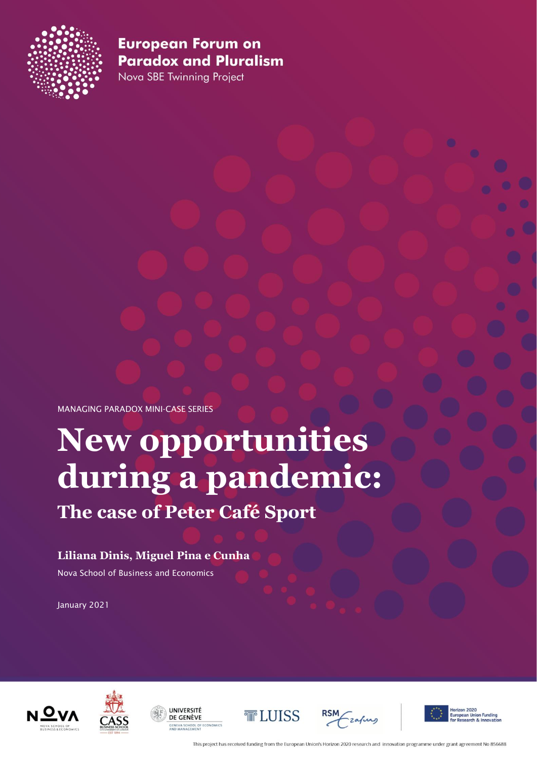

Nova SBE Twinning Project

MANAGING PARADOX MINI-CASE SERIES

# **New opportunities during a pandemic: The case of Peter Café Sport**

## **Liliana Dinis, Miguel Pina e Cunha**

Nova School of Business and Economics

January 2021











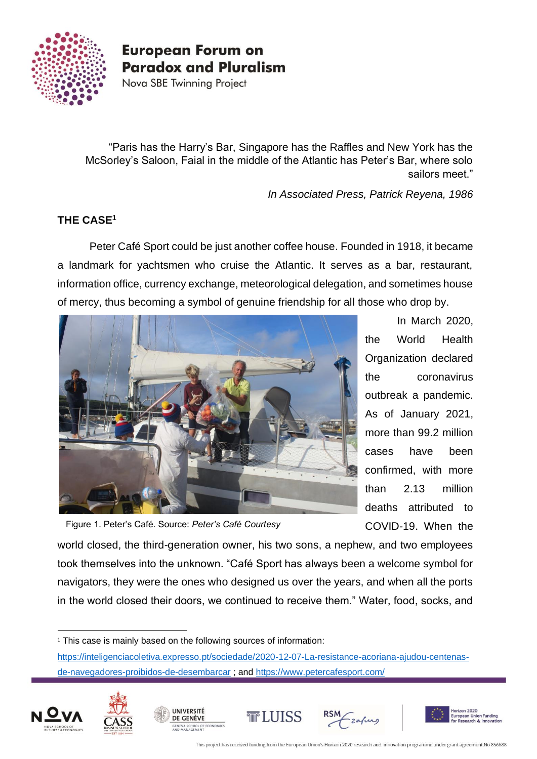

Nova SBE Twinning Project

"Paris has the Harry's Bar, Singapore has the Raffles and New York has the McSorley's Saloon, Faial in the middle of the Atlantic has Peter's Bar, where solo sailors meet."

*In Associated Press, Patrick Reyena, 1986*

## **THE CASE<sup>1</sup>**

Peter Café Sport could be just another coffee house. Founded in 1918, it became a landmark for yachtsmen who cruise the Atlantic. It serves as a bar, restaurant, information office, currency exchange, meteorological delegation, and sometimes house of mercy, thus becoming a symbol of genuine friendship for all those who drop by.



Figure 1. Peter's Café. Source: *Peter's Café Courtesy*

In March 2020, the World Health Organization declared the coronavirus outbreak a pandemic. As of January 2021, more than 99.2 million cases have been confirmed, with more than 2.13 million deaths attributed to COVID-19. When the

world closed, the third-generation owner, his two sons, a nephew, and two employees took themselves into the unknown. "Café Sport has always been a welcome symbol for navigators, they were the ones who designed us over the years, and when all the ports in the world closed their doors, we continued to receive them." Water, food, socks, and

**UNIVERSITÉ** 

DE GENÈVE

[https://inteligenciacoletiva.expresso.pt/sociedade/2020-12-07-La-resistance-acoriana-ajudou-centenas](https://inteligenciacoletiva.expresso.pt/sociedade/2020-12-07-La-resistance-acoriana-ajudou-centenas-de-navegadores-proibidos-de-desembarcar)[de-navegadores-proibidos-de-desembarcar](https://inteligenciacoletiva.expresso.pt/sociedade/2020-12-07-La-resistance-acoriana-ajudou-centenas-de-navegadores-proibidos-de-desembarcar) ; and<https://www.petercafesport.com/>











<sup>&</sup>lt;sup>1</sup> This case is mainly based on the following sources of information: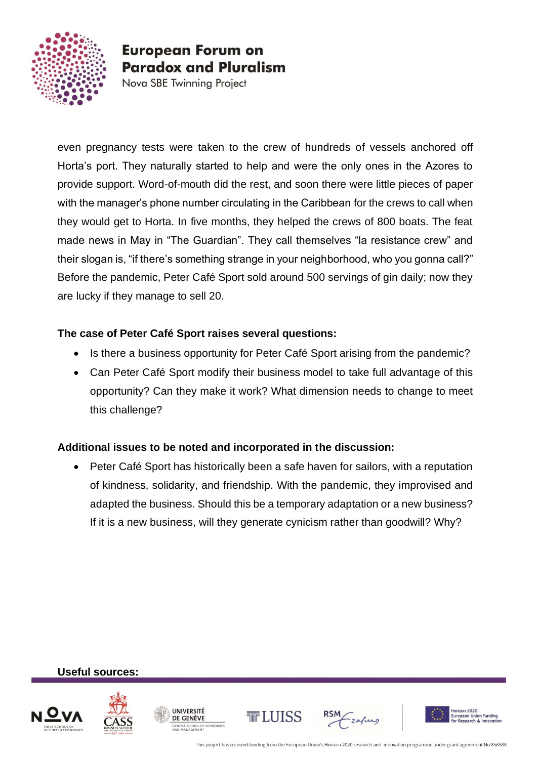

Nova SBE Twinning Project

even pregnancy tests were taken to the crew of hundreds of vessels anchored off Horta's port. They naturally started to help and were the only ones in the Azores to provide support. Word-of-mouth did the rest, and soon there were little pieces of paper with the manager's phone number circulating in the Caribbean for the crews to call when they would get to Horta. In five months, they helped the crews of 800 boats. The feat made news in May in "The Guardian". They call themselves "la resistance crew" and their slogan is, "if there's something strange in your neighborhood, who you gonna call?" Before the pandemic, Peter Café Sport sold around 500 servings of gin daily; now they are lucky if they manage to sell 20.

#### **The case of Peter Café Sport raises several questions:**

- Is there a business opportunity for Peter Café Sport arising from the pandemic?
- Can Peter Café Sport modify their business model to take full advantage of this opportunity? Can they make it work? What dimension needs to change to meet this challenge?

## **Additional issues to be noted and incorporated in the discussion:**

• Peter Café Sport has historically been a safe haven for sailors, with a reputation of kindness, solidarity, and friendship. With the pandemic, they improvised and adapted the business. Should this be a temporary adaptation or a new business? If it is a new business, will they generate cynicism rather than goodwill? Why?

**Useful sources:**













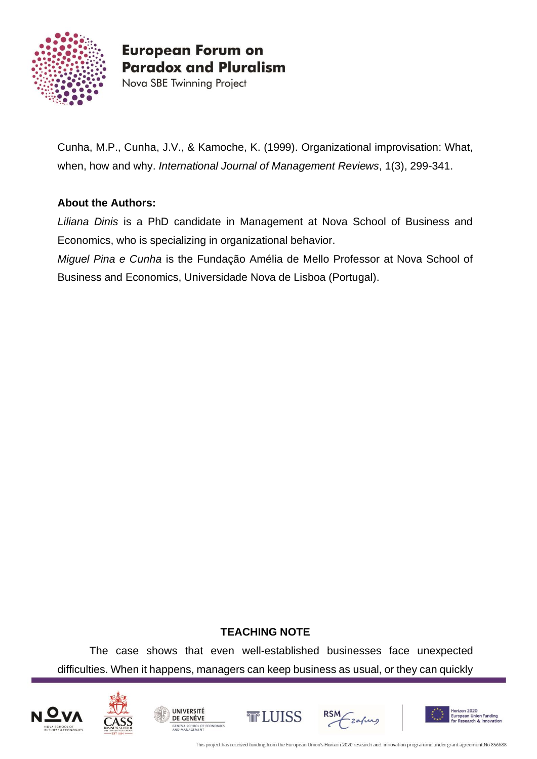

Nova SBE Twinning Project

Cunha, M.P., Cunha, J.V., & Kamoche, K. (1999). Organizational improvisation: What, when, how and why. *International Journal of Management Reviews*, 1(3), 299-341.

## **About the Authors:**

*Liliana Dinis* is a PhD candidate in Management at Nova School of Business and Economics, who is specializing in organizational behavior.

*Miguel Pina e Cunha* is the Fundação Amélia de Mello Professor at Nova School of Business and Economics, Universidade Nova de Lisboa (Portugal).

## **TEACHING NOTE**

The case shows that even well-established businesses face unexpected difficulties. When it happens, managers can keep business as usual, or they can quickly